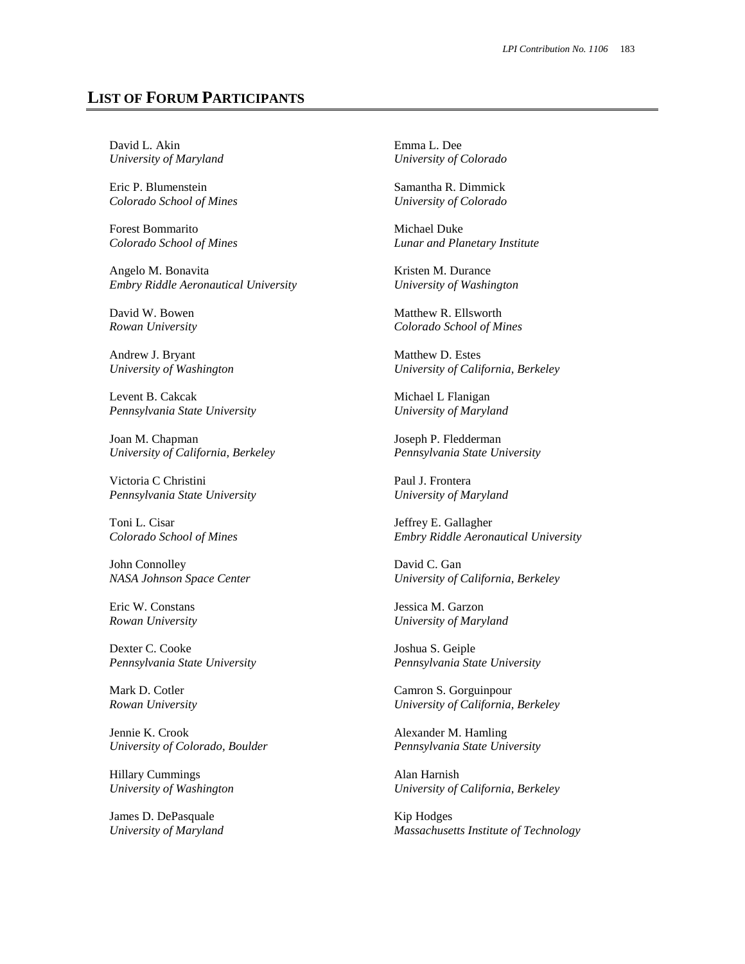## **LIST OF FORUM PARTICIPANTS**

David L. Akin *University of Maryland* 

Eric P. Blumenstein *Colorado School of Mines* 

Forest Bommarito *Colorado School of Mines*

Angelo M. Bonavita *Embry Riddle Aeronautical University*

David W. Bowen *Rowan University*

Andrew J. Bryant *University of Washington* 

Levent B. Cakcak *Pennsylvania State University*

Joan M. Chapman *University of California, Berkeley*

Victoria C Christini *Pennsylvania State University*

Toni L. Cisar *Colorado School of Mines*

John Connolley *NASA Johnson Space Center* 

Eric W. Constans *Rowan University*

Dexter C. Cooke *Pennsylvania State University*

Mark D. Cotler *Rowan University*

Jennie K. Crook *University of Colorado, Boulder*

Hillary Cummings *University of Washington* 

James D. DePasquale *University of Maryland*  Emma L. Dee *University of Colorado* 

Samantha R. Dimmick *University of Colorado* 

Michael Duke *Lunar and Planetary Institute* 

Kristen M. Durance *University of Washington* 

Matthew R. Ellsworth *Colorado School of Mines*

Matthew D. Estes *University of California, Berkeley*

Michael L Flanigan *University of Maryland* 

Joseph P. Fledderman *Pennsylvania State University*

Paul J. Frontera *University of Maryland* 

Jeffrey E. Gallagher *Embry Riddle Aeronautical University*

David C. Gan *University of California, Berkeley*

Jessica M. Garzon *University of Maryland* 

Joshua S. Geiple *Pennsylvania State University*

Camron S. Gorguinpour *University of California, Berkeley*

Alexander M. Hamling *Pennsylvania State University*

Alan Harnish *University of California, Berkeley*

Kip Hodges *Massachusetts Institute of Technology*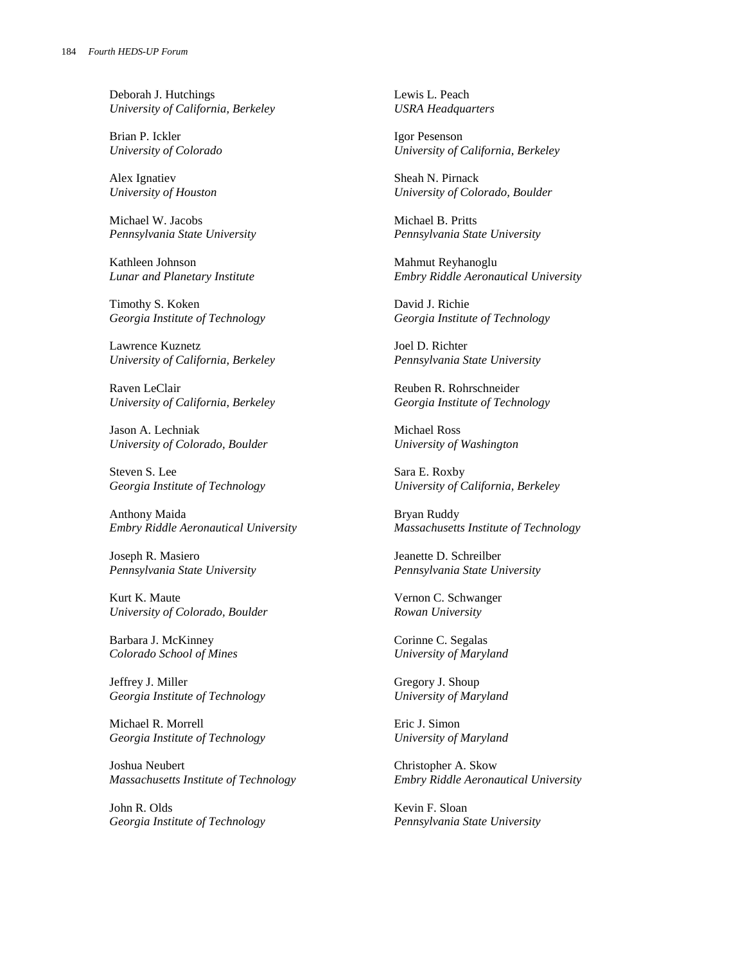Deborah J. Hutchings *University of California, Berkeley*

Brian P. Ickler *University of Colorado* 

Alex Ignatiev *University of Houston* 

Michael W. Jacobs *Pennsylvania State University*

Kathleen Johnson *Lunar and Planetary Institute* 

Timothy S. Koken *Georgia Institute of Technology* 

Lawrence Kuznetz *University of California, Berkeley*

Raven LeClair *University of California, Berkeley*

Jason A. Lechniak *University of Colorado, Boulder*

Steven S. Lee *Georgia Institute of Technology* 

Anthony Maida *Embry Riddle Aeronautical University*

Joseph R. Masiero *Pennsylvania State University*

Kurt K. Maute *University of Colorado, Boulder*

Barbara J. McKinney *Colorado School of Mines* 

Jeffrey J. Miller *Georgia Institute of Technology* 

Michael R. Morrell *Georgia Institute of Technology* 

Joshua Neubert *Massachusetts Institute of Technology* 

John R. Olds *Georgia Institute of Technology*  Lewis L. Peach *USRA Headquarters* 

Igor Pesenson *University of California, Berkeley*

Sheah N. Pirnack *University of Colorado, Boulder*

Michael B. Pritts *Pennsylvania State University*

Mahmut Reyhanoglu *Embry Riddle Aeronautical University* 

David J. Richie *Georgia Institute of Technology* 

Joel D. Richter *Pennsylvania State University*

Reuben R. Rohrschneider *Georgia Institute of Technology* 

Michael Ross *University of Washington* 

Sara E. Roxby *University of California, Berkeley*

Bryan Ruddy *Massachusetts Institute of Technology* 

Jeanette D. Schreilber *Pennsylvania State University*

Vernon C. Schwanger *Rowan University*

Corinne C. Segalas *University of Maryland* 

Gregory J. Shoup *University of Maryland* 

Eric J. Simon *University of Maryland* 

Christopher A. Skow *Embry Riddle Aeronautical University*

Kevin F. Sloan *Pennsylvania State University*